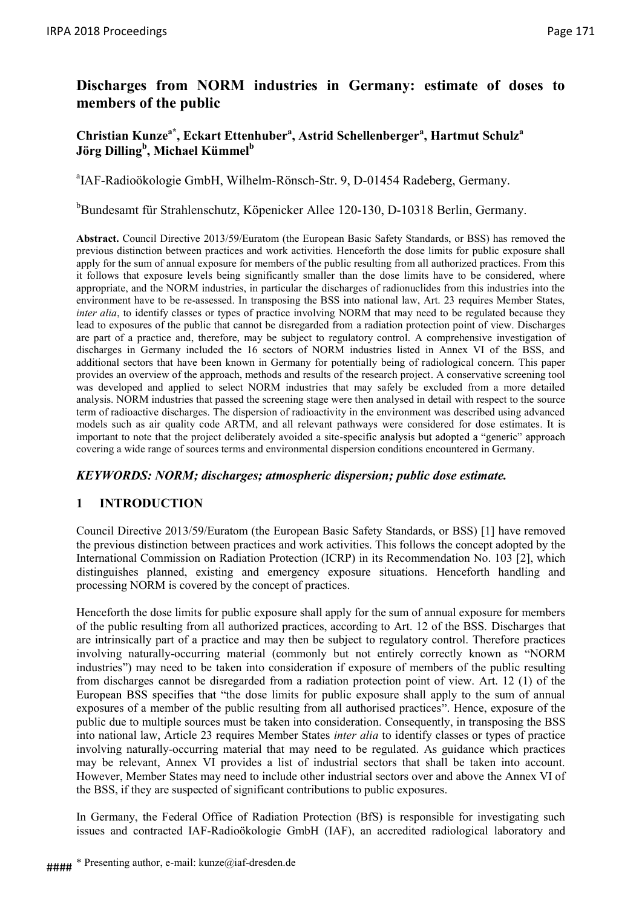# Discharges from NORM industries in Germany: estimate of doses to members of the public

# Christian Kunze<sup>a\*</sup>, Eckart Ettenhuber<sup>a</sup>, Astrid Schellenberger<sup>a</sup>, Hartmut Schulz<sup>a</sup> Jörg Dilling<sup>b</sup>, Michael Kümmel<sup>b</sup>

a IAF-Radioökologie GmbH, Wilhelm-Rönsch-Str. 9, D-01454 Radeberg, Germany.

<sup>b</sup>Bundesamt für Strahlenschutz, Köpenicker Allee 120-130, D-10318 Berlin, Germany.

Abstract. Council Directive 2013/59/Euratom (the European Basic Safety Standards, or BSS) has removed the previous distinction between practices and work activities. Henceforth the dose limits for public exposure shall apply for the sum of annual exposure for members of the public resulting from all authorized practices. From this it follows that exposure levels being significantly smaller than the dose limits have to be considered, where appropriate, and the NORM industries, in particular the discharges of radionuclides from this industries into the environment have to be re-assessed. In transposing the BSS into national law, Art. 23 requires Member States, inter alia, to identify classes or types of practice involving NORM that may need to be regulated because they lead to exposures of the public that cannot be disregarded from a radiation protection point of view. Discharges are part of a practice and, therefore, may be subject to regulatory control. A comprehensive investigation of discharges in Germany included the 16 sectors of NORM industries listed in Annex VI of the BSS, and additional sectors that have been known in Germany for potentially being of radiological concern. This paper provides an overview of the approach, methods and results of the research project. A conservative screening tool was developed and applied to select NORM industries that may safely be excluded from a more detailed analysis. NORM industries that passed the screening stage were then analysed in detail with respect to the source term of radioactive discharges. The dispersion of radioactivity in the environment was described using advanced models such as air quality code ARTM, and all relevant pathways were considered for dose estimates. It is important to note that the project deliberately avoided a site-specific analysis but adopted a "generic" approach covering a wide range of sources terms and environmental dispersion conditions encountered in Germany.

#### KEYWORDS: NORM; discharges; atmospheric dispersion; public dose estimate.

#### 1 INTRODUCTION

Council Directive 2013/59/Euratom (the European Basic Safety Standards, or BSS) [1] have removed the previous distinction between practices and work activities. This follows the concept adopted by the International Commission on Radiation Protection (ICRP) in its Recommendation No. 103 [2], which distinguishes planned, existing and emergency exposure situations. Henceforth handling and processing NORM is covered by the concept of practices.

Henceforth the dose limits for public exposure shall apply for the sum of annual exposure for members of the public resulting from all authorized practices, according to Art. 12 of the BSS. Discharges that are intrinsically part of a practice and may then be subject to regulatory control. Therefore practices involving naturally-occurring material (commonly but not entirely correctly known as "NORM industries") may need to be taken into consideration if exposure of members of the public resulting from discharges cannot be disregarded from a radiation protection point of view. Art. 12 (1) of the European BSS specifies that "the dose limits for public exposure shall apply to the sum of annual exposures of a member of the public resulting from all authorised practices". Hence, exposure of the public due to multiple sources must be taken into consideration. Consequently, in transposing the BSS into national law, Article 23 requires Member States inter alia to identify classes or types of practice involving naturally-occurring material that may need to be regulated. As guidance which practices may be relevant, Annex VI provides a list of industrial sectors that shall be taken into account. However, Member States may need to include other industrial sectors over and above the Annex VI of the BSS, if they are suspected of significant contributions to public exposures.

In Germany, the Federal Office of Radiation Protection (BfS) is responsible for investigating such issues and contracted IAF-Radioökologie GmbH (IAF), an accredited radiological laboratory and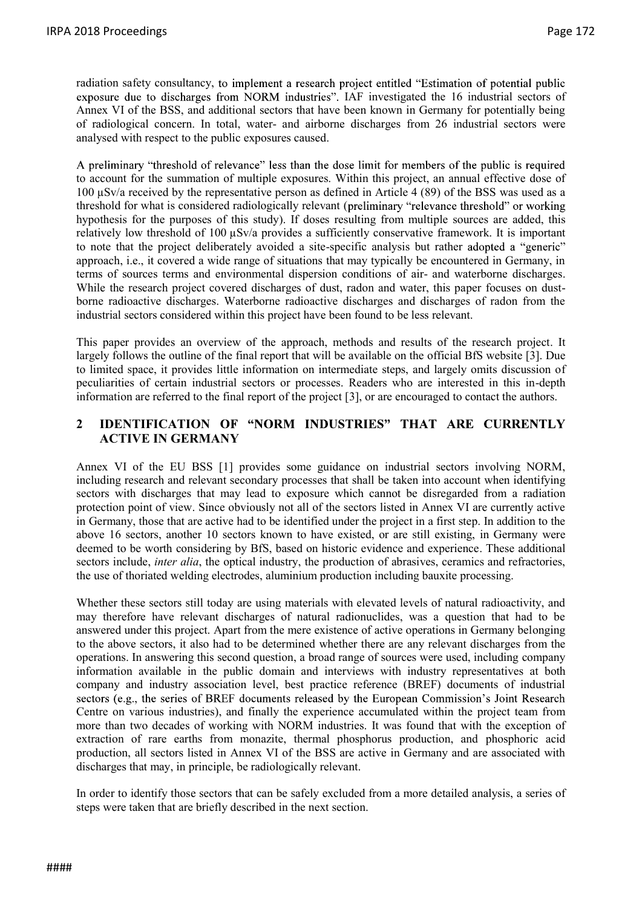radiation safety consultancy, to implement a research project entitled "Estimation of potential public exposure due to discharges from NORM industries". IAF investigated the 16 industrial sectors of Annex VI of the BSS, and additional sectors that have been known in Germany for potentially being of radiological concern. In total, water- and airborne discharges from 26 industrial sectors were analysed with respect to the public exposures caused.

A preliminary "threshold of relevance" less than the dose limit for members of the public is required to account for the summation of multiple exposures. Within this project, an annual effective dose of 100 µSv/a received by the representative person as defined in Article 4 (89) of the BSS was used as a threshold for what is considered radiologically relevant (preliminary "relevance threshold" or working hypothesis for the purposes of this study). If doses resulting from multiple sources are added, this relatively low threshold of 100 µSv/a provides a sufficiently conservative framework. It is important to note that the project deliberately avoided a site-specific analysis but rather adopted a "generic" approach, i.e., it covered a wide range of situations that may typically be encountered in Germany, in terms of sources terms and environmental dispersion conditions of air- and waterborne discharges. While the research project covered discharges of dust, radon and water, this paper focuses on dustborne radioactive discharges. Waterborne radioactive discharges and discharges of radon from the industrial sectors considered within this project have been found to be less relevant.

This paper provides an overview of the approach, methods and results of the research project. It largely follows the outline of the final report that will be available on the official BfS website [3]. Due to limited space, it provides little information on intermediate steps, and largely omits discussion of peculiarities of certain industrial sectors or processes. Readers who are interested in this in-depth information are referred to the final report of the project [3], or are encouraged to contact the authors.

## 2 IDENTIFICATION OF "NORM INDUSTRIES" THAT ARE CURRENTLY ACTIVE IN GERMANY

Annex VI of the EU BSS [1] provides some guidance on industrial sectors involving NORM, including research and relevant secondary processes that shall be taken into account when identifying sectors with discharges that may lead to exposure which cannot be disregarded from a radiation protection point of view. Since obviously not all of the sectors listed in Annex VI are currently active in Germany, those that are active had to be identified under the project in a first step. In addition to the above 16 sectors, another 10 sectors known to have existed, or are still existing, in Germany were deemed to be worth considering by BfS, based on historic evidence and experience. These additional sectors include, *inter alia*, the optical industry, the production of abrasives, ceramics and refractories, the use of thoriated welding electrodes, aluminium production including bauxite processing.

Whether these sectors still today are using materials with elevated levels of natural radioactivity, and may therefore have relevant discharges of natural radionuclides, was a question that had to be answered under this project. Apart from the mere existence of active operations in Germany belonging to the above sectors, it also had to be determined whether there are any relevant discharges from the operations. In answering this second question, a broad range of sources were used, including company information available in the public domain and interviews with industry representatives at both company and industry association level, best practice reference (BREF) documents of industrial sectors (e.g., the series of BREF documents released by the European Commission's Joint Research Centre on various industries), and finally the experience accumulated within the project team from more than two decades of working with NORM industries. It was found that with the exception of extraction of rare earths from monazite, thermal phosphorus production, and phosphoric acid production, all sectors listed in Annex VI of the BSS are active in Germany and are associated with discharges that may, in principle, be radiologically relevant.

In order to identify those sectors that can be safely excluded from a more detailed analysis, a series of steps were taken that are briefly described in the next section.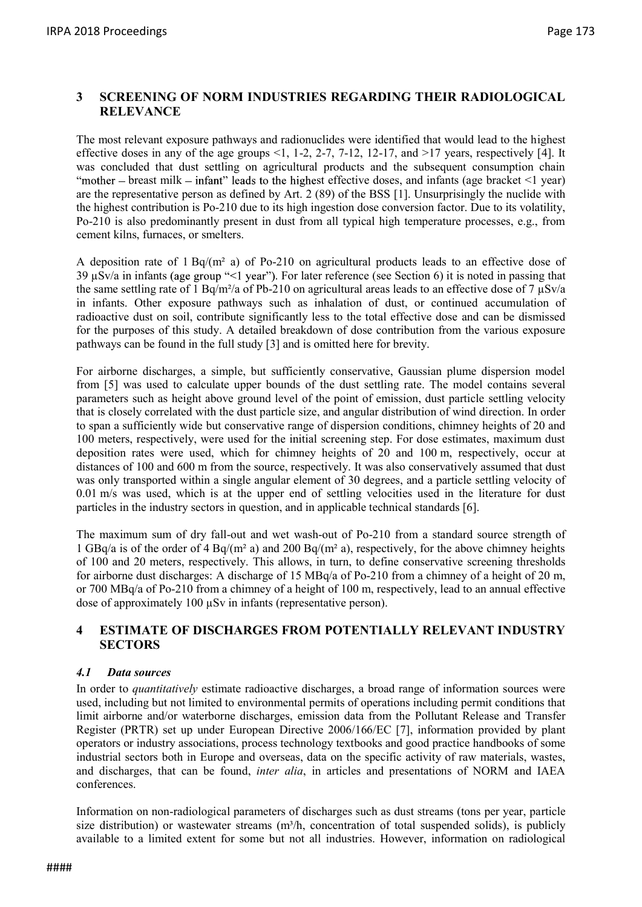# 3 SCREENING OF NORM INDUSTRIES REGARDING THEIR RADIOLOGICAL RELEVANCE

The most relevant exposure pathways and radionuclides were identified that would lead to the highest effective doses in any of the age groups <1, 1-2, 2-7, 7-12, 12-17, and >17 years, respectively [4]. It was concluded that dust settling on agricultural products and the subsequent consumption chain "mother – breast milk – infant" leads to the highest effective doses, and infants (age bracket  $\leq 1$  year) are the representative person as defined by Art. 2 (89) of the BSS [1]. Unsurprisingly the nuclide with the highest contribution is Po-210 due to its high ingestion dose conversion factor. Due to its volatility, Po-210 is also predominantly present in dust from all typical high temperature processes, e.g., from cement kilns, furnaces, or smelters.

A deposition rate of  $1 \text{ Bq/(m² a)}$  of Po-210 on agricultural products leads to an effective dose of  $39 \mu Sv/a$  in infants (age group "<1 year"). For later reference (see Section 6) it is noted in passing that the same settling rate of 1 Bq/m<sup>2</sup>/a of Pb-210 on agricultural areas leads to an effective dose of 7  $\mu$ Sv/a in infants. Other exposure pathways such as inhalation of dust, or continued accumulation of radioactive dust on soil, contribute significantly less to the total effective dose and can be dismissed for the purposes of this study. A detailed breakdown of dose contribution from the various exposure pathways can be found in the full study [3] and is omitted here for brevity.

For airborne discharges, a simple, but sufficiently conservative, Gaussian plume dispersion model from [5] was used to calculate upper bounds of the dust settling rate. The model contains several parameters such as height above ground level of the point of emission, dust particle settling velocity that is closely correlated with the dust particle size, and angular distribution of wind direction. In order to span a sufficiently wide but conservative range of dispersion conditions, chimney heights of 20 and 100 meters, respectively, were used for the initial screening step. For dose estimates, maximum dust deposition rates were used, which for chimney heights of 20 and 100 m, respectively, occur at distances of 100 and 600 m from the source, respectively. It was also conservatively assumed that dust was only transported within a single angular element of 30 degrees, and a particle settling velocity of 0.01 m/s was used, which is at the upper end of settling velocities used in the literature for dust particles in the industry sectors in question, and in applicable technical standards [6].

The maximum sum of dry fall-out and wet wash-out of Po-210 from a standard source strength of 1 GBq/a is of the order of 4 Bq/( $m<sup>2</sup>$  a) and 200 Bq/( $m<sup>2</sup>$  a), respectively, for the above chimney heights of 100 and 20 meters, respectively. This allows, in turn, to define conservative screening thresholds for airborne dust discharges: A discharge of 15 MBq/a of Po-210 from a chimney of a height of 20 m, or 700 MBq/a of Po-210 from a chimney of a height of 100 m, respectively, lead to an annual effective dose of approximately 100 µSv in infants (representative person).

## 4 ESTIMATE OF DISCHARGES FROM POTENTIALLY RELEVANT INDUSTRY **SECTORS**

#### 4.1 Data sources

In order to *quantitatively* estimate radioactive discharges, a broad range of information sources were used, including but not limited to environmental permits of operations including permit conditions that limit airborne and/or waterborne discharges, emission data from the Pollutant Release and Transfer Register (PRTR) set up under European Directive 2006/166/EC [7], information provided by plant operators or industry associations, process technology textbooks and good practice handbooks of some industrial sectors both in Europe and overseas, data on the specific activity of raw materials, wastes, and discharges, that can be found, *inter alia*, in articles and presentations of NORM and IAEA conferences.

Information on non-radiological parameters of discharges such as dust streams (tons per year, particle size distribution) or wastewater streams  $(m<sup>3</sup>/h,$  concentration of total suspended solids), is publicly available to a limited extent for some but not all industries. However, information on radiological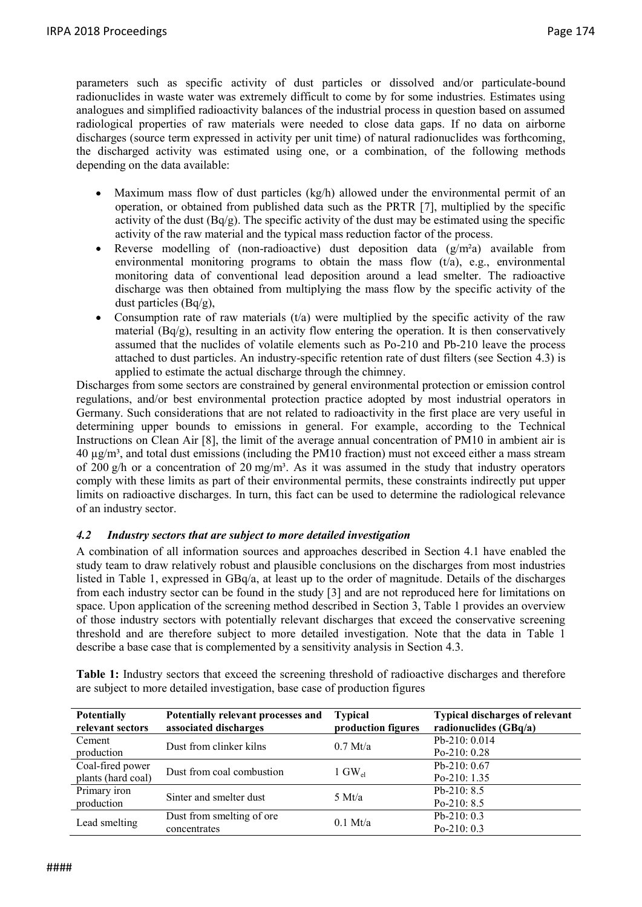parameters such as specific activity of dust particles or dissolved and/or particulate-bound radionuclides in waste water was extremely difficult to come by for some industries. Estimates using analogues and simplified radioactivity balances of the industrial process in question based on assumed radiological properties of raw materials were needed to close data gaps. If no data on airborne discharges (source term expressed in activity per unit time) of natural radionuclides was forthcoming, the discharged activity was estimated using one, or a combination, of the following methods depending on the data available:

- Maximum mass flow of dust particles (kg/h) allowed under the environmental permit of an operation, or obtained from published data such as the PRTR [7], multiplied by the specific activity of the dust  $(Bq/g)$ . The specific activity of the dust may be estimated using the specific activity of the raw material and the typical mass reduction factor of the process.
- Reverse modelling of (non-radioactive) dust deposition data  $(g/m<sup>2</sup>a)$  available from environmental monitoring programs to obtain the mass flow  $(t/a)$ , e.g., environmental monitoring data of conventional lead deposition around a lead smelter. The radioactive discharge was then obtained from multiplying the mass flow by the specific activity of the dust particles (Bq/g),
- Consumption rate of raw materials  $(t/a)$  were multiplied by the specific activity of the raw material (Bq/g), resulting in an activity flow entering the operation. It is then conservatively assumed that the nuclides of volatile elements such as Po-210 and Pb-210 leave the process attached to dust particles. An industry-specific retention rate of dust filters (see Section 4.3) is applied to estimate the actual discharge through the chimney.

Discharges from some sectors are constrained by general environmental protection or emission control regulations, and/or best environmental protection practice adopted by most industrial operators in Germany. Such considerations that are not related to radioactivity in the first place are very useful in determining upper bounds to emissions in general. For example, according to the Technical Instructions on Clean Air [8], the limit of the average annual concentration of PM10 in ambient air is  $40 \mu g/m<sup>3</sup>$ , and total dust emissions (including the PM10 fraction) must not exceed either a mass stream of 200 g/h or a concentration of 20 mg/m<sup>3</sup>. As it was assumed in the study that industry operators comply with these limits as part of their environmental permits, these constraints indirectly put upper limits on radioactive discharges. In turn, this fact can be used to determine the radiological relevance of an industry sector.

#### 4.2 Industry sectors that are subject to more detailed investigation

A combination of all information sources and approaches described in Section 4.1 have enabled the study team to draw relatively robust and plausible conclusions on the discharges from most industries listed in Table 1, expressed in GBq/a, at least up to the order of magnitude. Details of the discharges from each industry sector can be found in the study [3] and are not reproduced here for limitations on space. Upon application of the screening method described in Section 3, Table 1 provides an overview of those industry sectors with potentially relevant discharges that exceed the conservative screening threshold and are therefore subject to more detailed investigation. Note that the data in Table 1 describe a base case that is complemented by a sensitivity analysis in Section 4.3.

| <b>Potentially</b><br>relevant sectors | Potentially relevant processes and<br>associated discharges | <b>Typical</b><br>production figures | <b>Typical discharges of relevant</b><br>radionuclides (GBq/a) |
|----------------------------------------|-------------------------------------------------------------|--------------------------------------|----------------------------------------------------------------|
| Cement<br>production                   | Dust from clinker kilns                                     | $0.7 \mathrm{Mt/a}$                  | Pb-210: 0.014<br>Po-210: $0.28$                                |
| Coal-fired power<br>plants (hard coal) | Dust from coal combustion                                   | $1 \text{ GW}_{el}$                  | Pb-210: $0.67$<br>Po-210: $1.35$                               |
| Primary iron<br>production             | Sinter and smelter dust                                     | $5 \mathrm{Mt/a}$                    | Pb-210: $8.5$<br>Po-210: $8.5$                                 |
| Lead smelting                          | Dust from smelting of ore<br>concentrates                   | $0.1 \text{ Mt/a}$                   | Pb-210: $0.3$<br>Po-210: $0.3$                                 |

Table 1: Industry sectors that exceed the screening threshold of radioactive discharges and therefore are subject to more detailed investigation, base case of production figures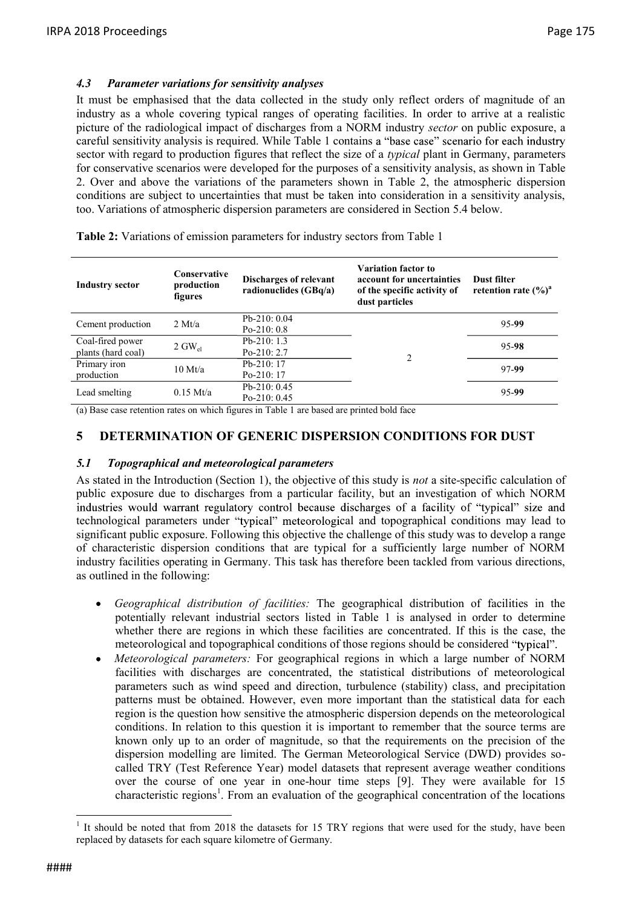#### 4.3 Parameter variations for sensitivity analyses

It must be emphasised that the data collected in the study only reflect orders of magnitude of an industry as a whole covering typical ranges of operating facilities. In order to arrive at a realistic picture of the radiological impact of discharges from a NORM industry sector on public exposure, a careful sensitivity analysis is required. While Table 1 contains sector with regard to production figures that reflect the size of a *typical* plant in Germany, parameters for conservative scenarios were developed for the purposes of a sensitivity analysis, as shown in Table 2. Over and above the variations of the parameters shown in Table 2, the atmospheric dispersion conditions are subject to uncertainties that must be taken into consideration in a sensitivity analysis, too. Variations of atmospheric dispersion parameters are considered in Section 5.4 below.

| <b>Industry sector</b>                 | Conservative<br>production<br>figures | Discharges of relevant<br>radionuclides $(GBq/a)$ | Variation factor to<br>account for uncertainties<br>of the specific activity of<br>dust particles | Dust filter<br>retention rate $(\%)^a$ |
|----------------------------------------|---------------------------------------|---------------------------------------------------|---------------------------------------------------------------------------------------------------|----------------------------------------|
| Cement production                      | $2 \mathrm{Mt/a}$                     | Pb-210: $0.04$<br>$Po-210:0.8$                    |                                                                                                   | 95-99                                  |
| Coal-fired power<br>plants (hard coal) | 2 GW $_{el}$                          | Pb-210: $1.3$<br>Po-210: $2.7$                    | 2                                                                                                 | 95-98                                  |
| Primary iron<br>production             | $10 \text{ M}t/a$                     | Pb-210: $17$<br>Po-210: $17$                      |                                                                                                   | 97-99                                  |
| Lead smelting                          | $0.15$ Mt/a                           | Pb-210: $0.45$<br>Po-210: $0.45$                  |                                                                                                   | 95-99                                  |

Table 2: Variations of emission parameters for industry sectors from Table 1

(a) Base case retention rates on which figures in Table 1 are based are printed bold face

### 5 DETERMINATION OF GENERIC DISPERSION CONDITIONS FOR DUST

#### 5.1 Topographical and meteorological parameters

As stated in the Introduction (Section 1), the objective of this study is not a site-specific calculation of public exposure due to discharges from a particular facility, but an investigation of which NORM industries would warrant regulatory control because discharges of a facility of "typical" size and technological parameters under "typical" meteorological and topographical conditions may lead to significant public exposure. Following this objective the challenge of this study was to develop a range of characteristic dispersion conditions that are typical for a sufficiently large number of NORM industry facilities operating in Germany. This task has therefore been tackled from various directions, as outlined in the following:

- Geographical distribution of facilities: The geographical distribution of facilities in the  $\bullet$ potentially relevant industrial sectors listed in Table 1 is analysed in order to determine whether there are regions in which these facilities are concentrated. If this is the case, the meteorological and topographical conditions of those regions should be considered
- $\bullet$ Meteorological parameters: For geographical regions in which a large number of NORM facilities with discharges are concentrated, the statistical distributions of meteorological parameters such as wind speed and direction, turbulence (stability) class, and precipitation patterns must be obtained. However, even more important than the statistical data for each region is the question how sensitive the atmospheric dispersion depends on the meteorological conditions. In relation to this question it is important to remember that the source terms are known only up to an order of magnitude, so that the requirements on the precision of the dispersion modelling are limited. The German Meteorological Service (DWD) provides socalled TRY (Test Reference Year) model datasets that represent average weather conditions over the course of one year in one-hour time steps [9]. They were available for 15 characteristic regions<sup>1</sup>. From an evaluation of the geographical concentration of the locations

<sup>&</sup>lt;sup>1</sup> It should be noted that from 2018 the datasets for 15 TRY regions that were used for the study, have been replaced by datasets for each square kilometre of Germany.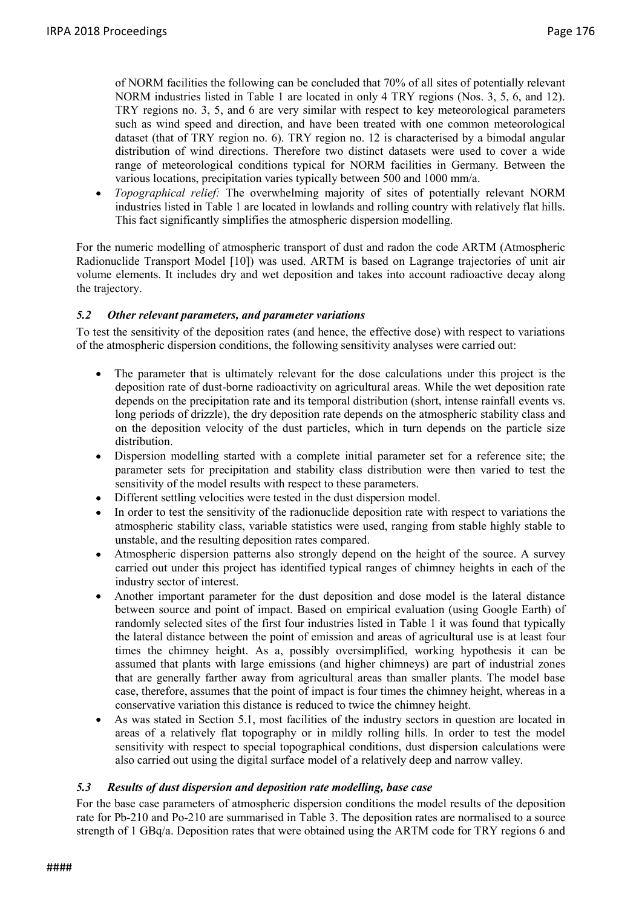of NORM facilities the following can be concluded that 70% of all sites of potentially relevant NORM industries listed in Table 1 are located in only 4 TRY regions (Nos. 3, 5, 6, and 12). TRY regions no. 3, 5, and 6 are very similar with respect to key meteorological parameters such as wind speed and direction, and have been treated with one common meteorological dataset (that of TRY region no. 6). TRY region no. 12 is characterised by a bimodal angular distribution of wind directions. Therefore two distinct datasets were used to cover a wide range of meteorological conditions typical for NORM facilities in Germany. Between the various locations, precipitation varies typically between 500 and 1000 mm/a.

Topographical relief: The overwhelming majority of sites of potentially relevant NORM industries listed in Table 1 are located in lowlands and rolling country with relatively flat hills. This fact significantly simplifies the atmospheric dispersion modelling.

For the numeric modelling of atmospheric transport of dust and radon the code ARTM (Atmospheric Radionuclide Transport Model [10]) was used. ARTM is based on Lagrange trajectories of unit air volume elements. It includes dry and wet deposition and takes into account radioactive decay along the trajectory.

#### 5.2 Other relevant parameters, and parameter variations

To test the sensitivity of the deposition rates (and hence, the effective dose) with respect to variations of the atmospheric dispersion conditions, the following sensitivity analyses were carried out:

- The parameter that is ultimately relevant for the dose calculations under this project is the  $\bullet$ deposition rate of dust-borne radioactivity on agricultural areas. While the wet deposition rate depends on the precipitation rate and its temporal distribution (short, intense rainfall events vs. long periods of drizzle), the dry deposition rate depends on the atmospheric stability class and on the deposition velocity of the dust particles, which in turn depends on the particle size distribution.
- Dispersion modelling started with a complete initial parameter set for a reference site; the parameter sets for precipitation and stability class distribution were then varied to test the sensitivity of the model results with respect to these parameters.
- Different settling velocities were tested in the dust dispersion model.
- In order to test the sensitivity of the radionuclide deposition rate with respect to variations the  $\bullet$ atmospheric stability class, variable statistics were used, ranging from stable highly stable to unstable, and the resulting deposition rates compared.
- Atmospheric dispersion patterns also strongly depend on the height of the source. A survey carried out under this project has identified typical ranges of chimney heights in each of the industry sector of interest.
- $\bullet$ Another important parameter for the dust deposition and dose model is the lateral distance between source and point of impact. Based on empirical evaluation (using Google Earth) of randomly selected sites of the first four industries listed in Table 1 it was found that typically the lateral distance between the point of emission and areas of agricultural use is at least four times the chimney height. As a, possibly oversimplified, working hypothesis it can be assumed that plants with large emissions (and higher chimneys) are part of industrial zones that are generally farther away from agricultural areas than smaller plants. The model base case, therefore, assumes that the point of impact is four times the chimney height, whereas in a conservative variation this distance is reduced to twice the chimney height.
- As was stated in Section 5.1, most facilities of the industry sectors in question are located in areas of a relatively flat topography or in mildly rolling hills. In order to test the model sensitivity with respect to special topographical conditions, dust dispersion calculations were also carried out using the digital surface model of a relatively deep and narrow valley.

#### 5.3 Results of dust dispersion and deposition rate modelling, base case

For the base case parameters of atmospheric dispersion conditions the model results of the deposition rate for Pb-210 and Po-210 are summarised in Table 3. The deposition rates are normalised to a source strength of 1 GBq/a. Deposition rates that were obtained using the ARTM code for TRY regions 6 and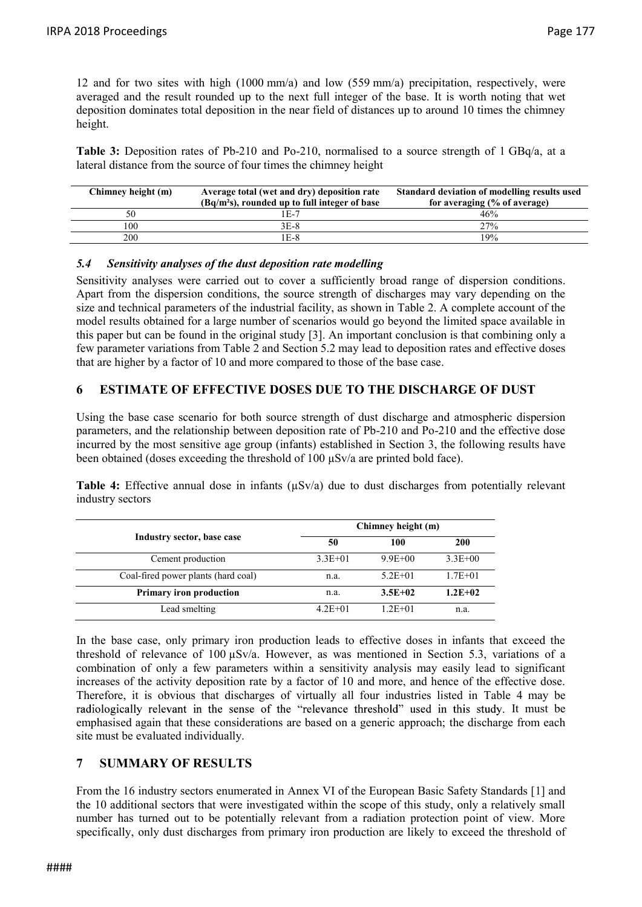12 and for two sites with high (1000 mm/a) and low (559 mm/a) precipitation, respectively, were averaged and the result rounded up to the next full integer of the base. It is worth noting that wet deposition dominates total deposition in the near field of distances up to around 10 times the chimney height.

Table 3: Deposition rates of Pb-210 and Po-210, normalised to a source strength of 1 GBq/a, at a lateral distance from the source of four times the chimney height

| Chimney height (m) | Average total (wet and dry) deposition rate<br>$(Bq/m2s)$ , rounded up to full integer of base | Standard deviation of modelling results used<br>for averaging (% of average) |
|--------------------|------------------------------------------------------------------------------------------------|------------------------------------------------------------------------------|
| 50                 | l E-7                                                                                          | 46%                                                                          |
| 100                | $3E-8$                                                                                         | 27%                                                                          |
| 200                | IE-8                                                                                           | 19%                                                                          |

#### 5.4 Sensitivity analyses of the dust deposition rate modelling

Sensitivity analyses were carried out to cover a sufficiently broad range of dispersion conditions. Apart from the dispersion conditions, the source strength of discharges may vary depending on the size and technical parameters of the industrial facility, as shown in Table 2. A complete account of the model results obtained for a large number of scenarios would go beyond the limited space available in this paper but can be found in the original study [3]. An important conclusion is that combining only a few parameter variations from Table 2 and Section 5.2 may lead to deposition rates and effective doses that are higher by a factor of 10 and more compared to those of the base case.

# 6 ESTIMATE OF EFFECTIVE DOSES DUE TO THE DISCHARGE OF DUST

Using the base case scenario for both source strength of dust discharge and atmospheric dispersion parameters, and the relationship between deposition rate of Pb-210 and Po-210 and the effective dose incurred by the most sensitive age group (infants) established in Section 3, the following results have been obtained (doses exceeding the threshold of 100 µSv/a are printed bold face).

Table 4: Effective annual dose in infants  $(\mu Sv/a)$  due to dust discharges from potentially relevant industry sectors

|                                     | Chimney height (m) |             |             |
|-------------------------------------|--------------------|-------------|-------------|
| Industry sector, base case          | 50                 | 100         | <b>200</b>  |
| Cement production                   | $3.3E+01$          | $9.9E + 00$ | $3.3E + 00$ |
| Coal-fired power plants (hard coal) | n.a.               | $5.2E + 01$ | $1.7E + 01$ |
| <b>Primary iron production</b>      | n.a.               | $3.5E+02$   | $1.2E + 02$ |
| Lead smelting                       | $4.2E + 01$        | $1.2E + 01$ | n.a.        |

In the base case, only primary iron production leads to effective doses in infants that exceed the threshold of relevance of 100 µSv/a. However, as was mentioned in Section 5.3, variations of a combination of only a few parameters within a sensitivity analysis may easily lead to significant increases of the activity deposition rate by a factor of 10 and more, and hence of the effective dose. Therefore, it is obvious that discharges of virtually all four industries listed in Table 4 may be radiologically relevant in the sense of the "relevance threshold" used in this study. It must be emphasised again that these considerations are based on a generic approach; the discharge from each site must be evaluated individually.

#### 7 SUMMARY OF RESULTS

From the 16 industry sectors enumerated in Annex VI of the European Basic Safety Standards [1] and the 10 additional sectors that were investigated within the scope of this study, only a relatively small number has turned out to be potentially relevant from a radiation protection point of view. More specifically, only dust discharges from primary iron production are likely to exceed the threshold of